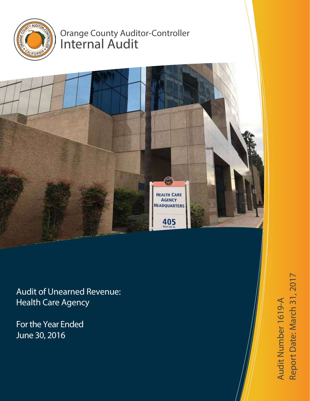

# Orange County Auditor-Controller Internal Audit



Audit of Unearned Revenue: Health Care Agency

For the Year Ended June 30, 2016

Audit Number 1619-  $\blacktriangleleft$ Report D  $\boldsymbol{\varpi}$ te: March 31, 2017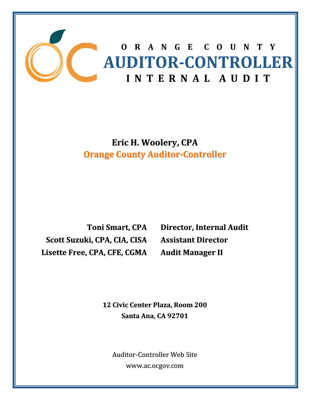

**Eric H. Woolery, CPA Orange County Auditor‐Controller**

**Toni Smart, CPA Scott Suzuki, CPA, CIA, CISA Lisette Free, CPA, CFE, CGMA**

**Director, Internal Audit Assistant Director Audit Manager II**

 **<sup>12</sup> Civic Center Plaza, Room <sup>200</sup> Santa Ana, CA 92701**

Auditor‐Controller Web Site www.ac.ocgov.com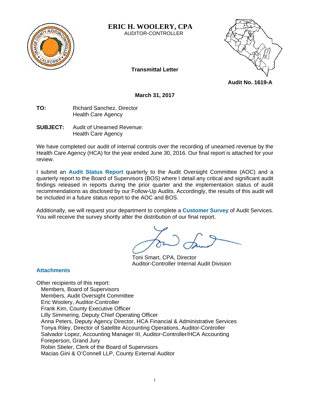

**ERIC H. WOOLERY, CPA**  AUDITOR-CONTROLLER



**Transmittal Letter** 

**Audit No. 1619-A** 

**March 31, 2017** 

- **TO:** Richard Sanchez, Director Health Care Agency
- **SUBJECT:** Audit of Unearned Revenue: Health Care Agency

We have completed our audit of internal controls over the recording of unearned revenue by the Health Care Agency (HCA) for the year ended June 30, 2016. Our final report is attached for your review.

I submit an **Audit Status Report** quarterly to the Audit Oversight Committee (AOC) and a quarterly report to the Board of Supervisors (BOS) where I detail any critical and significant audit findings released in reports during the prior quarter and the implementation status of audit recommendations as disclosed by our Follow-Up Audits. Accordingly, the results of this audit will be included in a future status report to the AOC and BOS.

Additionally, we will request your department to complete a **Customer Survey** of Audit Services. You will receive the survey shortly after the distribution of our final report.

 Toni Smart, CPA, Director Auditor-Controller Internal Audit Division

# **Attachments**

Other recipients of this report: Members, Board of Supervisors Members, Audit Oversight Committee Eric Woolery, Auditor-Controller Frank Kim, County Executive Officer Lilly Simmering, Deputy Chief Operating Officer Anna Peters, Deputy Agency Director, HCA Financial & Administrative Services Tonya Riley, Director of Satellite Accounting Operations, Auditor-Controller Salvador Lopez, Accounting Manager III, Auditor-Controller/HCA Accounting Foreperson, Grand Jury Robin Stieler, Clerk of the Board of Supervisors Macias Gini & O'Connell LLP, County External Auditor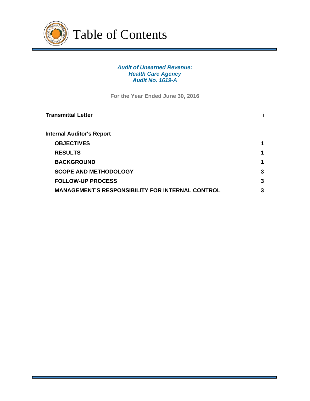

Table of Contents

## *Audit of Unearned Revenue: Health Care Agency Audit No. 1619-A*

**For the Year Ended June 30, 2016** 

| Transmittal Letter                                      |   |
|---------------------------------------------------------|---|
| <b>Internal Auditor's Report</b>                        |   |
| <b>OBJECTIVES</b>                                       | 1 |
| <b>RESULTS</b>                                          | 1 |
| <b>BACKGROUND</b>                                       | 1 |
| <b>SCOPE AND METHODOLOGY</b>                            | 3 |
| <b>FOLLOW-UP PROCESS</b>                                | 3 |
| <b>MANAGEMENT'S RESPONSIBILITY FOR INTERNAL CONTROL</b> | 3 |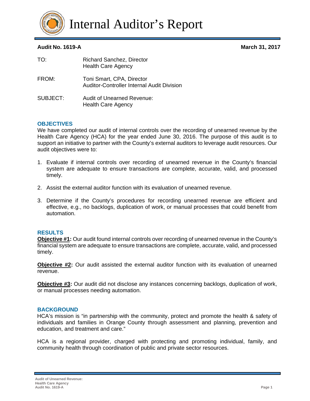

Internal Auditor's Report

# **Audit No. 1619-A March 31, 2017**

| TO:      | <b>Richard Sanchez, Director</b><br><b>Health Care Agency</b>                  |
|----------|--------------------------------------------------------------------------------|
| FROM:    | Toni Smart, CPA, Director<br><b>Auditor-Controller Internal Audit Division</b> |
| SUBJECT: | Audit of Unearned Revenue:<br><b>Health Care Agency</b>                        |

# **OBJECTIVES**

We have completed our audit of internal controls over the recording of unearned revenue by the Health Care Agency (HCA) for the year ended June 30, 2016. The purpose of this audit is to support an initiative to partner with the County's external auditors to leverage audit resources. Our audit objectives were to:

- 1. Evaluate if internal controls over recording of unearned revenue in the County's financial system are adequate to ensure transactions are complete, accurate, valid, and processed timely.
- 2. Assist the external auditor function with its evaluation of unearned revenue.
- 3. Determine if the County's procedures for recording unearned revenue are efficient and effective, e.g., no backlogs, duplication of work, or manual processes that could benefit from automation.

## **RESULTS**

**Objective #1:** Our audit found internal controls over recording of unearned revenue in the County's financial system are adequate to ensure transactions are complete, accurate, valid, and processed timely.

**Objective #2:** Our audit assisted the external auditor function with its evaluation of unearned revenue.

**Objective #3:** Our audit did not disclose any instances concerning backlogs, duplication of work, or manual processes needing automation.

## **BACKGROUND**

HCA's mission is "in partnership with the community, protect and promote the health & safety of individuals and families in Orange County through assessment and planning, prevention and education, and treatment and care."

HCA is a regional provider, charged with protecting and promoting individual, family, and community health through coordination of public and private sector resources.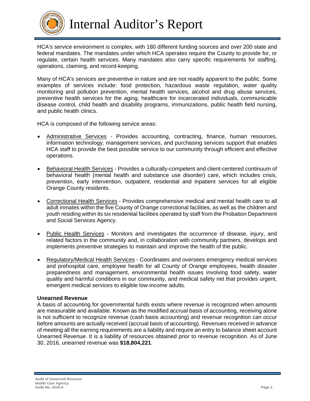

Internal Auditor's Report

HCA's service environment is complex, with 180 different funding sources and over 200 state and federal mandates. The mandates under which HCA operates require the County to provide for, or regulate, certain health services. Many mandates also carry specific requirements for staffing, operations, claiming, and record-keeping.

Many of HCA's services are preventive in nature and are not readily apparent to the public. Some examples of services include: food protection, hazardous waste regulation, water quality monitoring and pollution prevention, mental health services, alcohol and drug abuse services, preventive health services for the aging, healthcare for incarcerated individuals, communicable disease control, child health and disability programs, immunizations, public health field nursing, and public health clinics.

HCA is composed of the following service areas:

- Administrative Services Provides accounting, contracting, finance, human resources, information technology, management services, and purchasing services support that enables HCA staff to provide the best possible service to our community through efficient and effective operations.
- Behavioral Health Services Provides a culturally-competent and client-centered continuum of behavioral health (mental health and substance use disorder) care, which includes crisis, prevention, early intervention, outpatient, residential and inpatient services for all eligible Orange County residents.
- Correctional Health Services Provides comprehensive medical and mental health care to all adult inmates within the five County of Orange correctional facilities, as well as the children and youth residing within its six residential facilities operated by staff from the Probation Department and Social Services Agency.
- Public Health Services Monitors and investigates the occurrence of disease, injury, and related factors in the community and, in collaboration with community partners, develops and implements preventive strategies to maintain and improve the health of the public.
- Regulatory/Medical Health Services Coordinates and oversees emergency medical services and prehospital care, employee health for all County of Orange employees, health disaster preparedness and management, environmental health issues involving food safety, water quality and harmful conditions in our community, and medical safety net that provides urgent, emergent medical services to eligible low-income adults.

## **Unearned Revenue**

A basis of accounting for governmental funds exists where revenue is recognized when amounts are measurable and available. Known as the modified accrual basis of accounting, receiving alone is not sufficient to recognize revenue (cash basis accounting) and revenue recognition can occur before amounts are actually received (accrual basis of accounting). Revenues received in advance of meeting all the earning requirements are a liability and require an entry to balance sheet account Unearned Revenue. It is a liability of resources obtained prior to revenue recognition. As of June 30, 2016, unearned revenue was **\$18,804,221**.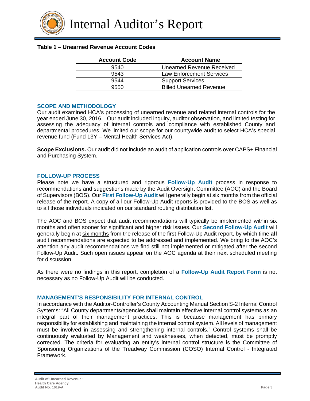

## **Table 1 – Unearned Revenue Account Codes**

| <b>Account Code</b> | <b>Account Name</b>             |
|---------------------|---------------------------------|
| 9540                | Unearned Revenue Received       |
| 9543                | <b>Law Enforcement Services</b> |
| 9544                | <b>Support Services</b>         |
| 9550                | <b>Billed Unearned Revenue</b>  |

#### **SCOPE AND METHODOLOGY**

Our audit examined HCA's processing of unearned revenue and related internal controls for the year ended June 30, 2016. Our audit included inquiry, auditor observation, and limited testing for assessing the adequacy of internal controls and compliance with established County and departmental procedures. We limited our scope for our countywide audit to select HCA's special revenue fund (Fund 13Y – Mental Health Services Act).

**Scope Exclusions.** Our audit did not include an audit of application controls over CAPS+ Financial and Purchasing System.

#### **FOLLOW-UP PROCESS**

Please note we have a structured and rigorous **Follow-Up Audit** process in response to recommendations and suggestions made by the Audit Oversight Committee (AOC) and the Board of Supervisors (BOS). Our **First Follow-Up Audit** will generally begin at six months from the official release of the report. A copy of all our Follow-Up Audit reports is provided to the BOS as well as to all those individuals indicated on our standard routing distribution list.

The AOC and BOS expect that audit recommendations will typically be implemented within six months and often sooner for significant and higher risk issues. Our **Second Follow-Up Audit** will generally begin at six months from the release of the first Follow-Up Audit report, by which time **all** audit recommendations are expected to be addressed and implemented. We bring to the AOC's attention any audit recommendations we find still not implemented or mitigated after the second Follow-Up Audit. Such open issues appear on the AOC agenda at their next scheduled meeting for discussion.

As there were no findings in this report, completion of a **Follow-Up Audit Report Form** is not necessary as no Follow-Up Audit will be conducted.

## **MANAGEMENT'S RESPONSIBILITY FOR INTERNAL CONTROL**

In accordance with the Auditor-Controller's County Accounting Manual Section S-2 Internal Control Systems: "All County departments/agencies shall maintain effective internal control systems as an integral part of their management practices. This is because management has primary responsibility for establishing and maintaining the internal control system. All levels of management must be involved in assessing and strengthening internal controls." Control systems shall be continuously evaluated by Management and weaknesses, when detected, must be promptly corrected. The criteria for evaluating an entity's internal control structure is the Committee of Sponsoring Organizations of the Treadway Commission (COSO) Internal Control - Integrated Framework.